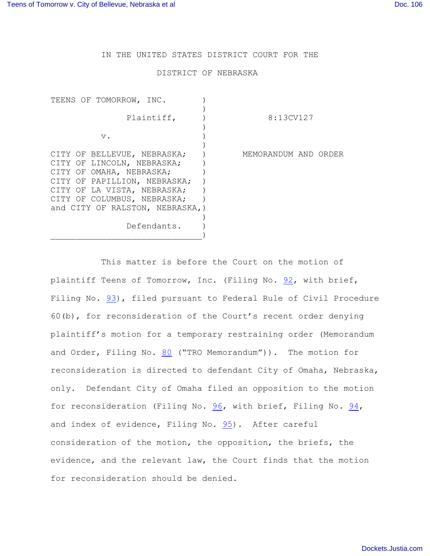IN THE UNITED STATES DISTRICT COURT FOR THE

## DISTRICT OF NEBRASKA

| TEENS OF TOMORROW, INC.                                         |                      |
|-----------------------------------------------------------------|----------------------|
| Plaintiff,                                                      | 8:13CV127            |
| $V$ .                                                           |                      |
| CITY OF BELLEVUE, NEBRASKA;                                     | MEMORANDUM AND ORDER |
| CITY OF LINCOLN, NEBRASKA;<br>CITY OF OMAHA, NEBRASKA;          |                      |
| CITY OF PAPILLION, NEBRASKA;<br>CITY OF LA VISTA, NEBRASKA;     |                      |
| CITY OF COLUMBUS, NEBRASKA;<br>and CITY OF RALSTON, NEBRASKA, ) |                      |
| Defendants.                                                     |                      |

This matter is before the Court on the motion of plaintiff Teens of Tomorrow, Inc. (Filing No. [92](http://ecf.ned.uscourts.gov/doc1/11302801359), with brief, Filing No. [93](http://ecf.ned.uscourts.gov/doc1/11302801362)), filed pursuant to Federal Rule of Civil Procedure 60(b), for reconsideration of the Court's recent order denying plaintiff's motion for a temporary restraining order (Memorandum and Order, Filing No. [80](http://ecf.ned.uscourts.gov/doc1/11302795299) ("TRO Memorandum")). The motion for reconsideration is directed to defendant City of Omaha, Nebraska, only. Defendant City of Omaha filed an opposition to the motion for reconsideration (Filing No. [96](http://ecf.ned.uscourts.gov/doc1/11302806648), with brief, Filing No. [94](http://ecf.ned.uscourts.gov/doc1/11302806557), and index of evidence, Filing No.  $95$ ). After careful consideration of the motion, the opposition, the briefs, the evidence, and the relevant law, the Court finds that the motion for reconsideration should be denied.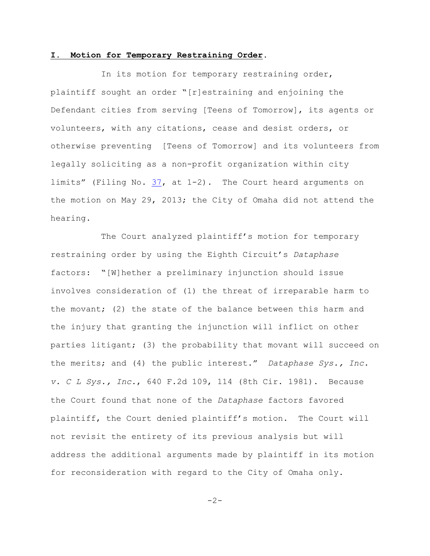## **I. Motion for Temporary Restraining Order.**

In its motion for temporary restraining order, plaintiff sought an order "[r]estraining and enjoining the Defendant cities from serving [Teens of Tomorrow], its agents or volunteers, with any citations, cease and desist orders, or otherwise preventing [Teens of Tomorrow] and its volunteers from legally soliciting as a non-profit organization within city limits" (Filing No. [37](http://ecf.ned.uscourts.gov/doc1/11302781909), at 1-2). The Court heard arguments on the motion on May 29, 2013; the City of Omaha did not attend the hearing.

The Court analyzed plaintiff's motion for temporary restraining order by using the Eighth Circuit's *Dataphase* factors: "[W]hether a preliminary injunction should issue involves consideration of (1) the threat of irreparable harm to the movant; (2) the state of the balance between this harm and the injury that granting the injunction will inflict on other parties litigant; (3) the probability that movant will succeed on the merits; and (4) the public interest." *Dataphase Sys., Inc. v. C L Sys., Inc*., 640 F.2d 109, 114 (8th Cir. 1981). Because the Court found that none of the *Dataphase* factors favored plaintiff, the Court denied plaintiff's motion. The Court will not revisit the entirety of its previous analysis but will address the additional arguments made by plaintiff in its motion for reconsideration with regard to the City of Omaha only.

 $-2-$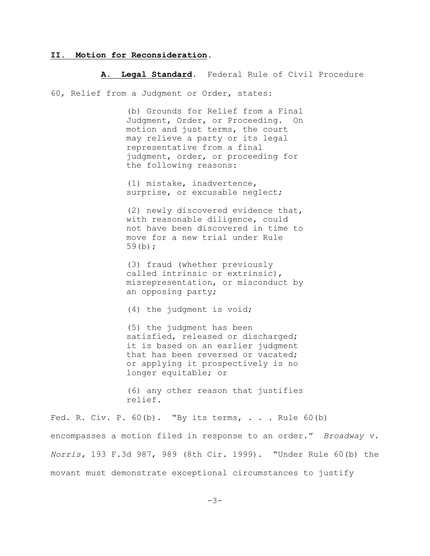## **II. Motion for Reconsideration.**

## **A. Legal Standard.** Federal Rule of Civil Procedure

60, Relief from a Judgment or Order, states:

(b) Grounds for Relief from a Final Judgment, Order, or Proceeding. On motion and just terms, the court may relieve a party or its legal representative from a final judgment, order, or proceeding for the following reasons:

(1) mistake, inadvertence, surprise, or excusable neglect;

(2) newly discovered evidence that, with reasonable diligence, could not have been discovered in time to move for a new trial under Rule 59(b);

(3) fraud (whether previously called intrinsic or extrinsic), misrepresentation, or misconduct by an opposing party;

(4) the judgment is void;

(5) the judgment has been satisfied, released or discharged; it is based on an earlier judgment that has been reversed or vacated; or applying it prospectively is no longer equitable; or

(6) any other reason that justifies relief.

Fed. R. Civ. P.  $60(b)$ . "By its terms, ... Rule  $60(b)$ encompasses a motion filed in response to an order." *Broadway v. Norris,* 193 F.3d 987, 989 (8th Cir. 1999). "Under Rule 60(b) the movant must demonstrate exceptional circumstances to justify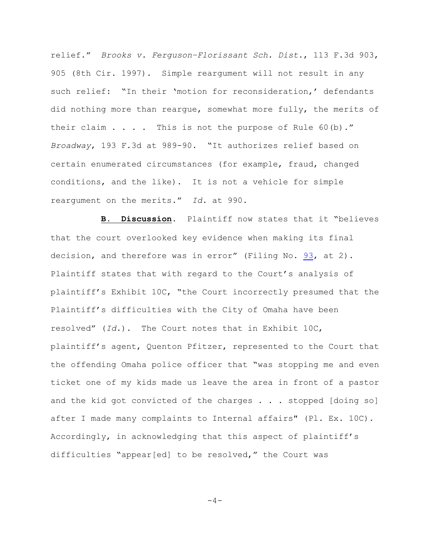relief." *Brooks v. Ferguson–Florissant Sch. Dist*., 113 F.3d 903, 905 (8th Cir. 1997). Simple reargument will not result in any such relief: "In their 'motion for reconsideration,' defendants did nothing more than reargue, somewhat more fully, the merits of their claim  $\ldots$  . This is not the purpose of Rule 60(b)." *Broadway*, 193 F.3d at 989-90. "It authorizes relief based on certain enumerated circumstances (for example, fraud, changed conditions, and the like). It is not a vehicle for simple reargument on the merits." *Id.* at 990.

**B. Discussion.** Plaintiff now states that it "believes that the court overlooked key evidence when making its final decision, and therefore was in error" (Filing No. [93](http://ecf.ned.uscourts.gov/doc1/11302801362), at 2). Plaintiff states that with regard to the Court's analysis of plaintiff's Exhibit 10C, "the Court incorrectly presumed that the Plaintiff's difficulties with the City of Omaha have been resolved" (*Id.*). The Court notes that in Exhibit 10C, plaintiff's agent, Quenton Pfitzer, represented to the Court that the offending Omaha police officer that "was stopping me and even ticket one of my kids made us leave the area in front of a pastor and the kid got convicted of the charges . . . stopped [doing so] after I made many complaints to Internal affairs" (Pl. Ex. 10C). Accordingly, in acknowledging that this aspect of plaintiff's difficulties "appear[ed] to be resolved," the Court was

 $-4-$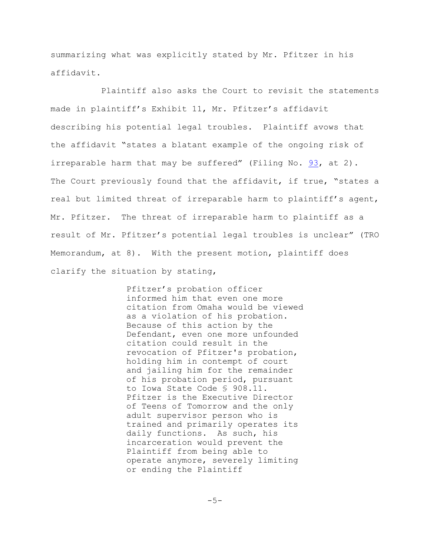summarizing what was explicitly stated by Mr. Pfitzer in his affidavit.

Plaintiff also asks the Court to revisit the statements made in plaintiff's Exhibit 11, Mr. Pfitzer's affidavit describing his potential legal troubles. Plaintiff avows that the affidavit "states a blatant example of the ongoing risk of irreparable harm that may be suffered" (Filing No.  $93$ , at 2). The Court previously found that the affidavit, if true, "states a real but limited threat of irreparable harm to plaintiff's agent, Mr. Pfitzer. The threat of irreparable harm to plaintiff as a result of Mr. Pfitzer's potential legal troubles is unclear" (TRO Memorandum, at 8). With the present motion, plaintiff does clarify the situation by stating,

> Pfitzer's probation officer informed him that even one more citation from Omaha would be viewed as a violation of his probation. Because of this action by the Defendant, even one more unfounded citation could result in the revocation of Pfitzer's probation, holding him in contempt of court and jailing him for the remainder of his probation period, pursuant to Iowa State Code § 908.11. Pfitzer is the Executive Director of Teens of Tomorrow and the only adult supervisor person who is trained and primarily operates its daily functions. As such, his incarceration would prevent the Plaintiff from being able to operate anymore, severely limiting or ending the Plaintiff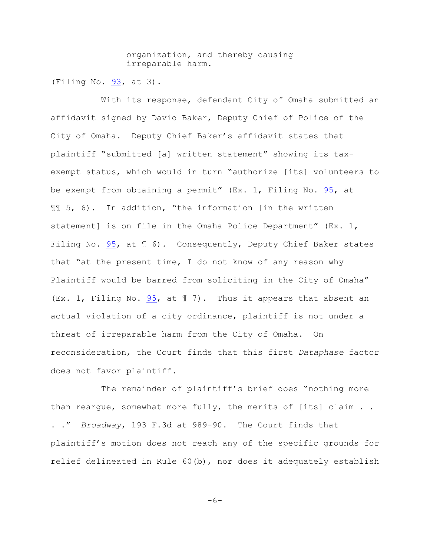organization, and thereby causing irreparable harm.

(Filing No. [93](http://ecf.ned.uscourts.gov/doc1/11302801362), at 3).

With its response, defendant City of Omaha submitted an affidavit signed by David Baker, Deputy Chief of Police of the City of Omaha. Deputy Chief Baker's affidavit states that plaintiff "submitted [a] written statement" showing its taxexempt status, which would in turn "authorize [its] volunteers to be exempt from obtaining a permit" (Ex. 1, Filing No. [95](http://ecf.ned.uscourts.gov/doc1/11302806599), at ¶¶ 5, 6). In addition, "the information [in the written statement] is on file in the Omaha Police Department" (Ex. 1, Filing No. [95](http://ecf.ned.uscourts.gov/doc1/11302806599), at  $\mathbb I$  6). Consequently, Deputy Chief Baker states that "at the present time, I do not know of any reason why Plaintiff would be barred from soliciting in the City of Omaha" (Ex. 1, Filing No. [95](http://ecf.ned.uscourts.gov/doc1/11302806599), at ¶ 7). Thus it appears that absent an actual violation of a city ordinance, plaintiff is not under a threat of irreparable harm from the City of Omaha. On reconsideration, the Court finds that this first *Dataphase* factor does not favor plaintiff.

The remainder of plaintiff's brief does "nothing more than rearque, somewhat more fully, the merits of [its] claim . . . ." *Broadway*, 193 F.3d at 989-90. The Court finds that plaintiff's motion does not reach any of the specific grounds for relief delineated in Rule 60(b), nor does it adequately establish

 $-6-$